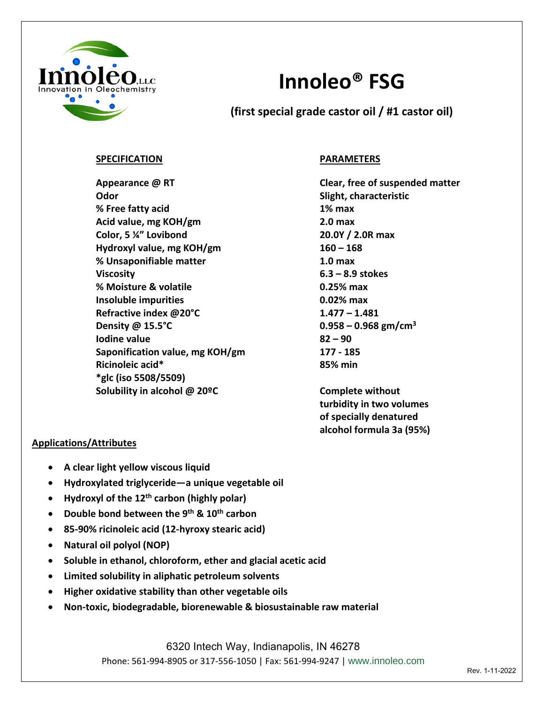

# **Innoleo® FSG**

**(first special grade castor oil / #1 castor oil)**

## **SPECIFICATION PARAMETERS**

**Appearance @ RT Clear, free of suspended matter Odor** Slight, characteristic **% Free fatty acid 1% max Acid value, mg KOH/gm 2.0 max Color, 5 ¼" Lovibond 20.0Y / 2.0R max** Hydroxyl value, mg KOH/gm **160 – 168 % Unsaponifiable matter 1.0 max Viscosity 6.3 – 8.9 stokes % Moisture & volatile 0.25% max Insoluble impurities 1.02% max Refractive index @20°C 1.477 – 1.481 Density @ 15.5°C 0.958 – 0.968 gm/cm3 Iodine value 82 – 90 Saponification value, mg KOH/gm 177 - 185 Ricinoleic acid\* 85% min \*glc (iso 5508/5509) Solubility in alcohol @ 20ºC Complete without** 

**turbidity in two volumes of specially denatured alcohol formula 3a (95%)**

## **Applications/Attributes**

- **A clear light yellow viscous liquid**
- **Hydroxylated triglyceride—a unique vegetable oil**
- **Hydroxyl of the 12th carbon (highly polar)**
- **Double bond between the 9th & 10th carbon**
- **85-90% ricinoleic acid (12-hyroxy stearic acid)**
- **Natural oil polyol (NOP)**
- **Soluble in ethanol, chloroform, ether and glacial acetic acid**
- **Limited solubility in aliphatic petroleum solvents**
- **Higher oxidative stability than other vegetable oils**
- **Non-toxic, biodegradable, biorenewable & biosustainable raw material**

6320 Intech Way, Indianapolis, IN 46278 Phone: 561-994-8905 or 317-556-1050 | Fax: 561-994-9247 | www.innoleo.com